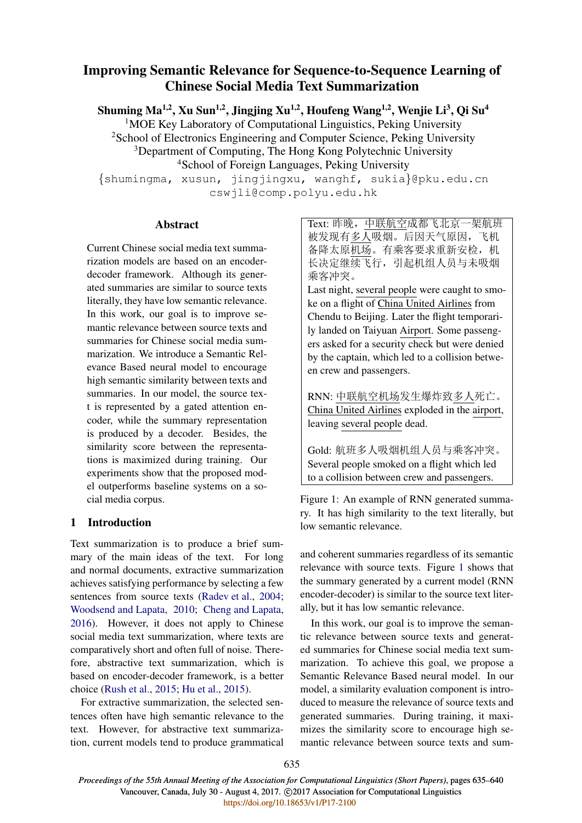# Improving Semantic Relevance for Sequence-to-Sequence Learning of Chinese Social Media Text Summarization

Shuming Ma<sup>1,2</sup>, Xu Sun<sup>1,2</sup>, Jingjing Xu<sup>1,2</sup>, Houfeng Wang<sup>1,2</sup>, Wenjie Li<sup>3</sup>, Qi Su<sup>4</sup>

<sup>1</sup>MOE Key Laboratory of Computational Linguistics, Peking University <sup>2</sup>School of Electronics Engineering and Computer Science, Peking University <sup>3</sup>Department of Computing, The Hong Kong Polytechnic University

<sup>4</sup>School of Foreign Languages, Peking University

{shumingma, xusun, jingjingxu, wanghf, sukia}@pku.edu.cn cswjli@comp.polyu.edu.hk

## Abstract

Current Chinese social media text summarization models are based on an encoderdecoder framework. Although its generated summaries are similar to source texts literally, they have low semantic relevance. In this work, our goal is to improve semantic relevance between source texts and summaries for Chinese social media summarization. We introduce a Semantic Relevance Based neural model to encourage high semantic similarity between texts and summaries. In our model, the source text is represented by a gated attention encoder, while the summary representation is produced by a decoder. Besides, the similarity score between the representations is maximized during training. Our experiments show that the proposed model outperforms baseline systems on a social media corpus.

## 1 Introduction

Text summarization is to produce a brief summary of the main ideas of the text. For long and normal documents, extractive summarization achieves satisfying performance by selecting a few sentences from source texts (Radev et al., 2004; Woodsend and Lapata, 2010; Cheng and Lapata, 2016). However, it does not apply to Chinese social media text summarization, where texts are comparatively short and often full of noise. Therefore, abstractive text summarization, which is based on encoder-decoder framework, is a better choice (Rush et al., 2015; Hu et al., 2015).

For extractive summarization, the selected sentences often have high semantic relevance to the text. However, for abstractive text summarization, current models tend to produce grammatical Text: 昨晚,中联航空成都飞北京一架航班 被发现有多人吸烟。后因天气原因,飞机 备降太原机场。有乘客要求重新安检,机 长决定继续飞行,引起机组人员与未吸烟 乘客冲突。

Last night, several people were caught to smoke on a flight of China United Airlines from Chendu to Beijing. Later the flight temporarily landed on Taiyuan Airport. Some passengers asked for a security check but were denied by the captain, which led to a collision between crew and passengers.

RNN: 中联航空机场发生爆炸致多人死亡。 China United Airlines exploded in the airport, leaving several people dead.

Gold: 航班多人吸烟机组人员与乘客冲突。 Several people smoked on a flight which led to a collision between crew and passengers.

Figure 1: An example of RNN generated summary. It has high similarity to the text literally, but low semantic relevance.

and coherent summaries regardless of its semantic relevance with source texts. Figure 1 shows that the summary generated by a current model (RNN encoder-decoder) is similar to the source text literally, but it has low semantic relevance.

In this work, our goal is to improve the semantic relevance between source texts and generated summaries for Chinese social media text summarization. To achieve this goal, we propose a Semantic Relevance Based neural model. In our model, a similarity evaluation component is introduced to measure the relevance of source texts and generated summaries. During training, it maximizes the similarity score to encourage high semantic relevance between source texts and sum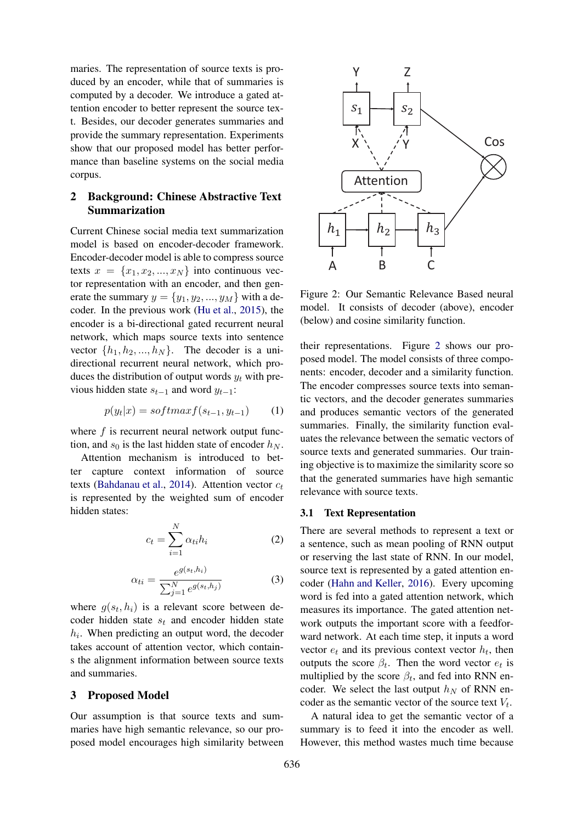maries. The representation of source texts is produced by an encoder, while that of summaries is computed by a decoder. We introduce a gated attention encoder to better represent the source text. Besides, our decoder generates summaries and provide the summary representation. Experiments show that our proposed model has better performance than baseline systems on the social media corpus.

## 2 Background: Chinese Abstractive Text Summarization

Current Chinese social media text summarization model is based on encoder-decoder framework. Encoder-decoder model is able to compress source texts  $x = \{x_1, x_2, ..., x_N\}$  into continuous vector representation with an encoder, and then generate the summary  $y = \{y_1, y_2, ..., y_M\}$  with a decoder. In the previous work (Hu et al., 2015), the encoder is a bi-directional gated recurrent neural network, which maps source texts into sentence vector  $\{h_1, h_2, ..., h_N\}$ . The decoder is a unidirectional recurrent neural network, which produces the distribution of output words  $y_t$  with previous hidden state  $s_{t-1}$  and word  $y_{t-1}$ :

$$
p(y_t|x) = softmax f(s_{t-1}, y_{t-1}) \qquad (1)
$$

where  $f$  is recurrent neural network output function, and  $s_0$  is the last hidden state of encoder  $h_N$ .

Attention mechanism is introduced to better capture context information of source texts (Bahdanau et al., 2014). Attention vector  $c_t$ is represented by the weighted sum of encoder hidden states:

$$
c_t = \sum_{i=1}^{N} \alpha_{ti} h_i \tag{2}
$$

$$
\alpha_{ti} = \frac{e^{g(s_t, h_i)}}{\sum_{j=1}^{N} e^{g(s_t, h_j)}}\tag{3}
$$

where  $g(s_t, h_i)$  is a relevant score between decoder hidden state  $s_t$  and encoder hidden state  $h_i$ . When predicting an output word, the decoder takes account of attention vector, which contains the alignment information between source texts and summaries.

### 3 Proposed Model

Our assumption is that source texts and summaries have high semantic relevance, so our proposed model encourages high similarity between



Figure 2: Our Semantic Relevance Based neural model. It consists of decoder (above), encoder (below) and cosine similarity function.

their representations. Figure 2 shows our proposed model. The model consists of three components: encoder, decoder and a similarity function. The encoder compresses source texts into semantic vectors, and the decoder generates summaries and produces semantic vectors of the generated summaries. Finally, the similarity function evaluates the relevance between the sematic vectors of source texts and generated summaries. Our training objective is to maximize the similarity score so that the generated summaries have high semantic relevance with source texts.

#### 3.1 Text Representation

There are several methods to represent a text or a sentence, such as mean pooling of RNN output or reserving the last state of RNN. In our model, source text is represented by a gated attention encoder (Hahn and Keller, 2016). Every upcoming word is fed into a gated attention network, which measures its importance. The gated attention network outputs the important score with a feedforward network. At each time step, it inputs a word vector  $e_t$  and its previous context vector  $h_t$ , then outputs the score  $\beta_t$ . Then the word vector  $e_t$  is multiplied by the score  $\beta_t$ , and fed into RNN encoder. We select the last output  $h_N$  of RNN encoder as the semantic vector of the source text  $V_t$ .

A natural idea to get the semantic vector of a summary is to feed it into the encoder as well. However, this method wastes much time because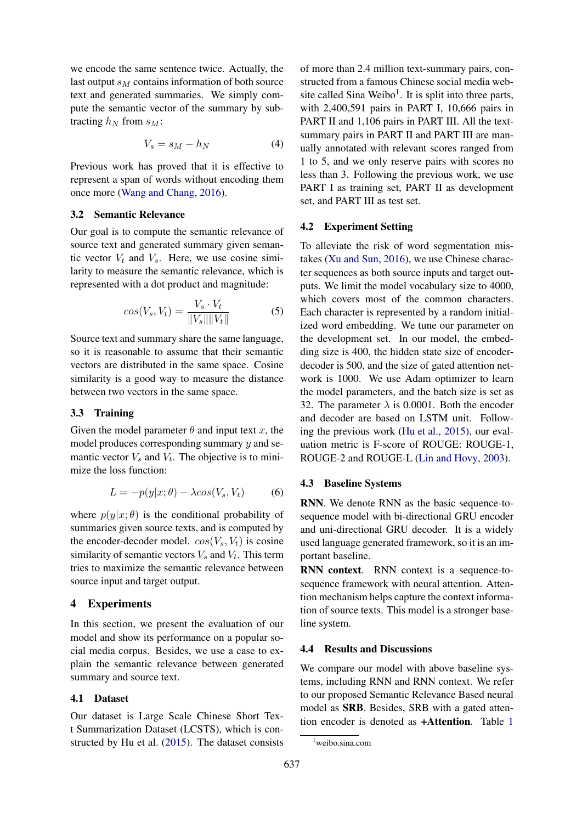we encode the same sentence twice. Actually, the last output  $s_M$  contains information of both source text and generated summaries. We simply compute the semantic vector of the summary by subtracting  $h_N$  from  $s_M$ :

$$
V_s = s_M - h_N \tag{4}
$$

Previous work has proved that it is effective to represent a span of words without encoding them once more (Wang and Chang, 2016).

#### 3.2 Semantic Relevance

Our goal is to compute the semantic relevance of source text and generated summary given semantic vector  $V_t$  and  $V_s$ . Here, we use cosine similarity to measure the semantic relevance, which is represented with a dot product and magnitude:

$$
cos(V_s, V_t) = \frac{V_s \cdot V_t}{\|V_s\| \|V_t\|}
$$
 (5)

Source text and summary share the same language, so it is reasonable to assume that their semantic vectors are distributed in the same space. Cosine similarity is a good way to measure the distance between two vectors in the same space.

### 3.3 Training

Given the model parameter  $\theta$  and input text x, the model produces corresponding summary  $y$  and semantic vector  $V_s$  and  $V_t$ . The objective is to minimize the loss function:

$$
L = -p(y|x; \theta) - \lambda \cos(V_s, V_t) \tag{6}
$$

where  $p(y|x; \theta)$  is the conditional probability of summaries given source texts, and is computed by the encoder-decoder model.  $cos(V_s, V_t)$  is cosine similarity of semantic vectors  $V_s$  and  $V_t$ . This term tries to maximize the semantic relevance between source input and target output.

## 4 Experiments

In this section, we present the evaluation of our model and show its performance on a popular social media corpus. Besides, we use a case to explain the semantic relevance between generated summary and source text.

#### 4.1 Dataset

Our dataset is Large Scale Chinese Short Text Summarization Dataset (LCSTS), which is constructed by Hu et al. (2015). The dataset consists

of more than 2.4 million text-summary pairs, constructed from a famous Chinese social media website called Sina Weibo<sup>1</sup>. It is split into three parts, with 2,400,591 pairs in PART I, 10,666 pairs in PART II and 1,106 pairs in PART III. All the textsummary pairs in PART II and PART III are manually annotated with relevant scores ranged from 1 to 5, and we only reserve pairs with scores no less than 3. Following the previous work, we use PART I as training set, PART II as development set, and PART III as test set.

#### 4.2 Experiment Setting

To alleviate the risk of word segmentation mistakes (Xu and Sun, 2016), we use Chinese character sequences as both source inputs and target outputs. We limit the model vocabulary size to 4000, which covers most of the common characters. Each character is represented by a random initialized word embedding. We tune our parameter on the development set. In our model, the embedding size is 400, the hidden state size of encoderdecoder is 500, and the size of gated attention network is 1000. We use Adam optimizer to learn the model parameters, and the batch size is set as 32. The parameter  $\lambda$  is 0.0001. Both the encoder and decoder are based on LSTM unit. Following the previous work (Hu et al., 2015), our evaluation metric is F-score of ROUGE: ROUGE-1, ROUGE-2 and ROUGE-L (Lin and Hovy, 2003).

#### 4.3 Baseline Systems

RNN. We denote RNN as the basic sequence-tosequence model with bi-directional GRU encoder and uni-directional GRU decoder. It is a widely used language generated framework, so it is an important baseline.

RNN context. RNN context is a sequence-tosequence framework with neural attention. Attention mechanism helps capture the context information of source texts. This model is a stronger baseline system.

### 4.4 Results and Discussions

We compare our model with above baseline systems, including RNN and RNN context. We refer to our proposed Semantic Relevance Based neural model as SRB. Besides, SRB with a gated attention encoder is denoted as +Attention. Table 1

<sup>1</sup>weibo.sina.com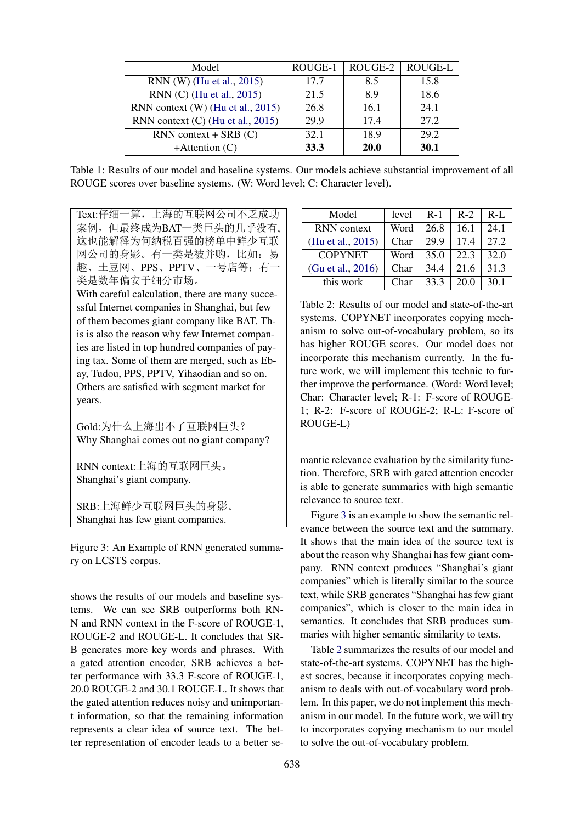| Model                               | ROUGE-1 | ROUGE-2 | ROUGE-L     |
|-------------------------------------|---------|---------|-------------|
| RNN (W) (Hu et al., 2015)           | 17.7    | 8.5     | 15.8        |
| RNN (C) (Hu et al., 2015)           | 21.5    | 89      | 18.6        |
| RNN context (W) (Hu et al., 2015)   | 26.8    | 16.1    | 24.1        |
| RNN context $(C)$ (Hu et al., 2015) | 29.9    | 17.4    | 27.2        |
| $RNN$ context + SRB $(C)$           | 32.1    | 18.9    | 29.2        |
| $+$ Attention $(C)$                 | 33.3    | 20.0    | <b>30.1</b> |

Table 1: Results of our model and baseline systems. Our models achieve substantial improvement of all ROUGE scores over baseline systems. (W: Word level; C: Character level).

Text:仔细一算,上海的互联网公司不乏成功 案例,但最终成为BAT一类巨头的几乎没有, 这也能解释为何纳税百强的榜单中鲜少互联 网公司的身影。有一类是被并购,比如:易 趣、土豆网、PPS、PPTV、一号店等;有一 类是数年偏安于细分市场。

With careful calculation, there are many successful Internet companies in Shanghai, but few of them becomes giant company like BAT. This is also the reason why few Internet companies are listed in top hundred companies of paying tax. Some of them are merged, such as Ebay, Tudou, PPS, PPTV, Yihaodian and so on. Others are satisfied with segment market for years.

Gold:为什么上海出不了互联网巨头? Why Shanghai comes out no giant company?

RNN context:上海的互联网巨头。 Shanghai's giant company.

SRB:上海鲜少互联网巨头的身影。 Shanghai has few giant companies.

Figure 3: An Example of RNN generated summary on LCSTS corpus.

shows the results of our models and baseline systems. We can see SRB outperforms both RN-N and RNN context in the F-score of ROUGE-1, ROUGE-2 and ROUGE-L. It concludes that SR-B generates more key words and phrases. With a gated attention encoder, SRB achieves a better performance with 33.3 F-score of ROUGE-1, 20.0 ROUGE-2 and 30.1 ROUGE-L. It shows that the gated attention reduces noisy and unimportant information, so that the remaining information represents a clear idea of source text. The better representation of encoder leads to a better se-

| Model              | level | $R-1$ | $R-2$ | $R-I$ . |
|--------------------|-------|-------|-------|---------|
| <b>RNN</b> context | Word  | 26.8  | 16.1  | 24.1    |
| (Hu et al., 2015)  | Char  | 29.9  | 17.4  | 272     |
| <b>COPYNET</b>     | Word  | 35.0  | 22.3  | 32.O    |
| (Gu et al., 2016)  | Char  | 34.4  | 21.6  | 31.3    |
| this work          | Char  | 33.3  | 20.0  | 30.1    |

Table 2: Results of our model and state-of-the-art systems. COPYNET incorporates copying mechanism to solve out-of-vocabulary problem, so its has higher ROUGE scores. Our model does not incorporate this mechanism currently. In the future work, we will implement this technic to further improve the performance. (Word: Word level; Char: Character level; R-1: F-score of ROUGE-1; R-2: F-score of ROUGE-2; R-L: F-score of ROUGE-L)

mantic relevance evaluation by the similarity function. Therefore, SRB with gated attention encoder is able to generate summaries with high semantic relevance to source text.

Figure 3 is an example to show the semantic relevance between the source text and the summary. It shows that the main idea of the source text is about the reason why Shanghai has few giant company. RNN context produces "Shanghai's giant companies" which is literally similar to the source text, while SRB generates "Shanghai has few giant companies", which is closer to the main idea in semantics. It concludes that SRB produces summaries with higher semantic similarity to texts.

Table 2 summarizes the results of our model and state-of-the-art systems. COPYNET has the highest socres, because it incorporates copying mechanism to deals with out-of-vocabulary word problem. In this paper, we do not implement this mechanism in our model. In the future work, we will try to incorporates copying mechanism to our model to solve the out-of-vocabulary problem.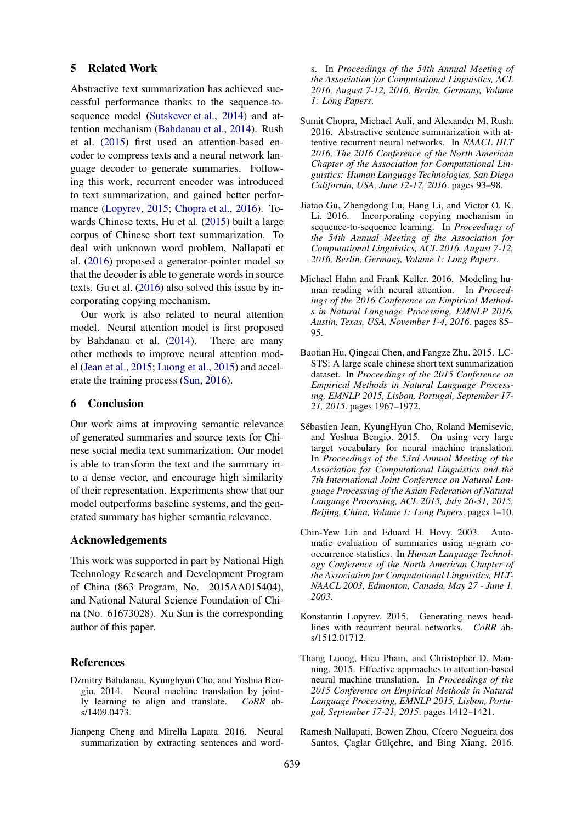#### 5 Related Work

Abstractive text summarization has achieved successful performance thanks to the sequence-tosequence model (Sutskever et al., 2014) and attention mechanism (Bahdanau et al., 2014). Rush et al. (2015) first used an attention-based encoder to compress texts and a neural network language decoder to generate summaries. Following this work, recurrent encoder was introduced to text summarization, and gained better performance (Lopyrev, 2015; Chopra et al., 2016). Towards Chinese texts, Hu et al. (2015) built a large corpus of Chinese short text summarization. To deal with unknown word problem, Nallapati et al. (2016) proposed a generator-pointer model so that the decoder is able to generate words in source texts. Gu et al. (2016) also solved this issue by incorporating copying mechanism.

Our work is also related to neural attention model. Neural attention model is first proposed by Bahdanau et al. (2014). There are many other methods to improve neural attention model (Jean et al., 2015; Luong et al., 2015) and accelerate the training process (Sun, 2016).

## 6 Conclusion

Our work aims at improving semantic relevance of generated summaries and source texts for Chinese social media text summarization. Our model is able to transform the text and the summary into a dense vector, and encourage high similarity of their representation. Experiments show that our model outperforms baseline systems, and the generated summary has higher semantic relevance.

#### Acknowledgements

This work was supported in part by National High Technology Research and Development Program of China (863 Program, No. 2015AA015404), and National Natural Science Foundation of China (No. 61673028). Xu Sun is the corresponding author of this paper.

## References

- Dzmitry Bahdanau, Kyunghyun Cho, and Yoshua Bengio. 2014. Neural machine translation by jointly learning to align and translate. *CoRR* abs/1409.0473.
- Jianpeng Cheng and Mirella Lapata. 2016. Neural summarization by extracting sentences and word-

s. In *Proceedings of the 54th Annual Meeting of the Association for Computational Linguistics, ACL 2016, August 7-12, 2016, Berlin, Germany, Volume 1: Long Papers*.

- Sumit Chopra, Michael Auli, and Alexander M. Rush. 2016. Abstractive sentence summarization with attentive recurrent neural networks. In *NAACL HLT 2016, The 2016 Conference of the North American Chapter of the Association for Computational Linguistics: Human Language Technologies, San Diego California, USA, June 12-17, 2016*. pages 93–98.
- Jiatao Gu, Zhengdong Lu, Hang Li, and Victor O. K. Li. 2016. Incorporating copying mechanism in sequence-to-sequence learning. In *Proceedings of the 54th Annual Meeting of the Association for Computational Linguistics, ACL 2016, August 7-12, 2016, Berlin, Germany, Volume 1: Long Papers*.
- Michael Hahn and Frank Keller. 2016. Modeling human reading with neural attention. In *Proceedings of the 2016 Conference on Empirical Methods in Natural Language Processing, EMNLP 2016, Austin, Texas, USA, November 1-4, 2016*. pages 85– 95.
- Baotian Hu, Qingcai Chen, and Fangze Zhu. 2015. LC-STS: A large scale chinese short text summarization dataset. In *Proceedings of the 2015 Conference on Empirical Methods in Natural Language Processing, EMNLP 2015, Lisbon, Portugal, September 17- 21, 2015*. pages 1967–1972.
- Sebastien Jean, KyungHyun Cho, Roland Memisevic, ´ and Yoshua Bengio. 2015. On using very large target vocabulary for neural machine translation. In *Proceedings of the 53rd Annual Meeting of the Association for Computational Linguistics and the 7th International Joint Conference on Natural Language Processing of the Asian Federation of Natural Language Processing, ACL 2015, July 26-31, 2015, Beijing, China, Volume 1: Long Papers*. pages 1–10.
- Chin-Yew Lin and Eduard H. Hovy. 2003. Automatic evaluation of summaries using n-gram cooccurrence statistics. In *Human Language Technology Conference of the North American Chapter of the Association for Computational Linguistics, HLT-NAACL 2003, Edmonton, Canada, May 27 - June 1, 2003*.
- Konstantin Lopyrev. 2015. Generating news headlines with recurrent neural networks. *CoRR* abs/1512.01712.
- Thang Luong, Hieu Pham, and Christopher D. Manning. 2015. Effective approaches to attention-based neural machine translation. In *Proceedings of the 2015 Conference on Empirical Methods in Natural Language Processing, EMNLP 2015, Lisbon, Portugal, September 17-21, 2015*. pages 1412–1421.
- Ramesh Nallapati, Bowen Zhou, Cícero Nogueira dos Santos, Çaglar Gülçehre, and Bing Xiang. 2016.